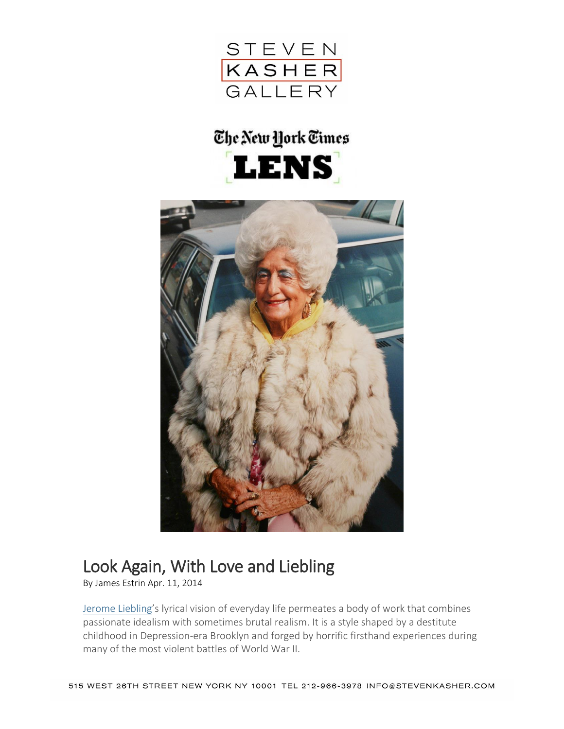

## The New York Times **LENS**



## Look Again, With Love and Liebling

By James Estrin Apr. 11, 2014

[Jerome Liebling](http://www.jeromeliebling.com/)'s lyrical vision of everyday life permeates a body of work that combines passionate idealism with sometimes brutal realism. It is a style shaped by a destitute childhood in Depression-era Brooklyn and forged by horrific firsthand experiences during many of the most violent battles of World War II.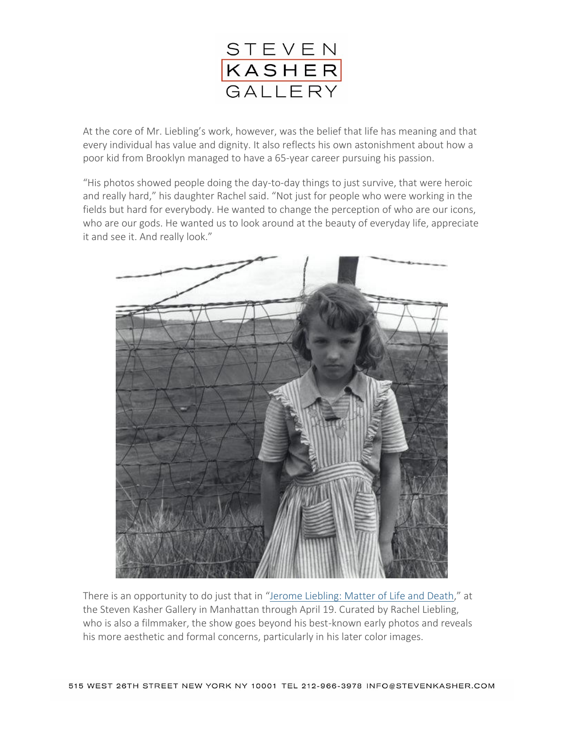

At the core of Mr. Liebling's work, however, was the belief that life has meaning and that every individual has value and dignity. It also reflects his own astonishment about how a poor kid from Brooklyn managed to have a 65-year career pursuing his passion.

"His photos showed people doing the day-to-day things to just survive, that were heroic and really hard," his daughter Rachel said. "Not just for people who were working in the fields but hard for everybody. He wanted to change the perception of who are our icons, who are our gods. He wanted us to look around at the beauty of everyday life, appreciate it and see it. And really look."



There is an opportunity to do just that in "[Jerome Liebling: Matter of Life and Death](http://stevenkasher.com/exhibition/103/press_release/)," at the Steven Kasher Gallery in Manhattan through April 19. Curated by Rachel Liebling, who is also a filmmaker, the show goes beyond his best-known early photos and reveals his more aesthetic and formal concerns, particularly in his later color images.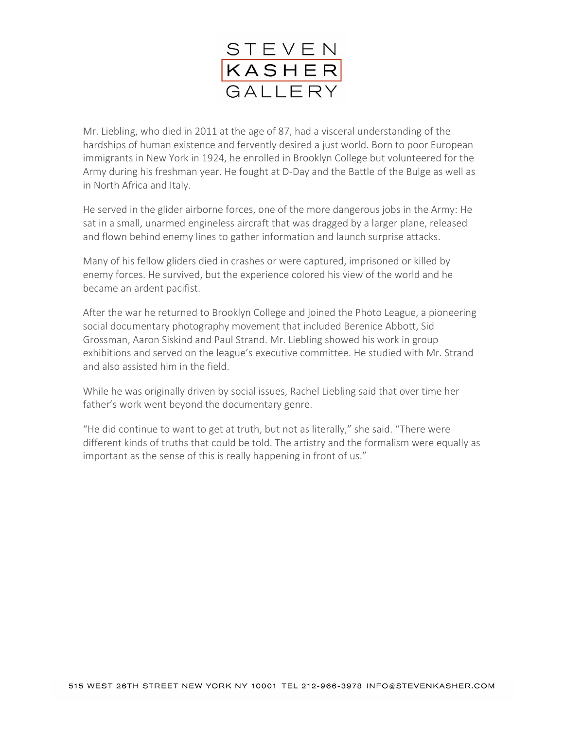

Mr. Liebling, who died in 2011 at the age of 87, had a visceral understanding of the hardships of human existence and fervently desired a just world. Born to poor European immigrants in New York in 1924, he enrolled in Brooklyn College but volunteered for the Army during his freshman year. He fought at D-Day and the Battle of the Bulge as well as in North Africa and Italy.

He served in the glider airborne forces, one of the more dangerous jobs in the Army: He sat in a small, unarmed engineless aircraft that was dragged by a larger plane, released and flown behind enemy lines to gather information and launch surprise attacks.

Many of his fellow gliders died in crashes or were captured, imprisoned or killed by enemy forces. He survived, but the experience colored his view of the world and he became an ardent pacifist.

After the war he returned to Brooklyn College and joined the Photo League, a pioneering social documentary photography movement that included Berenice Abbott, Sid Grossman, Aaron Siskind and Paul Strand. Mr. Liebling showed his work in group exhibitions and served on the league's executive committee. He studied with Mr. Strand and also assisted him in the field.

While he was originally driven by social issues, Rachel Liebling said that over time her father's work went beyond the documentary genre.

"He did continue to want to get at truth, but not as literally," she said. "There were different kinds of truths that could be told. The artistry and the formalism were equally as important as the sense of this is really happening in front of us."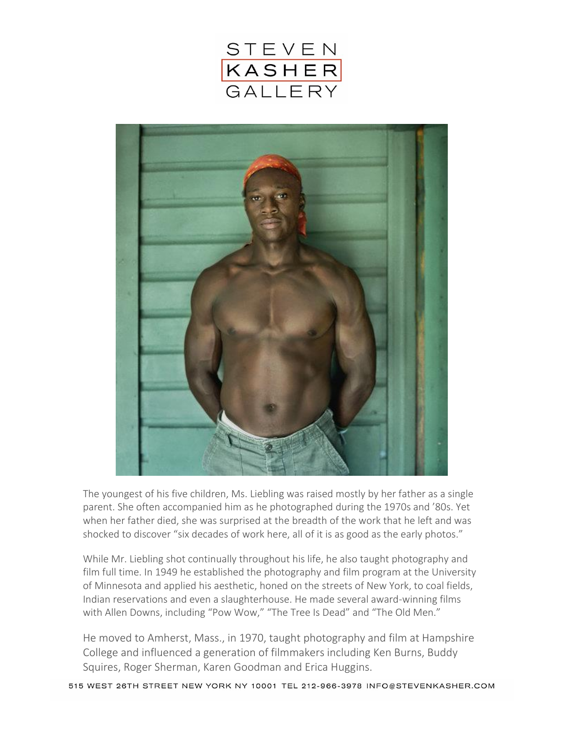



The youngest of his five children, Ms. Liebling was raised mostly by her father as a single parent. She often accompanied him as he photographed during the 1970s and '80s. Yet when her father died, she was surprised at the breadth of the work that he left and was shocked to discover "six decades of work here, all of it is as good as the early photos."

While Mr. Liebling shot continually throughout his life, he also taught photography and film full time. In 1949 he established the photography and film program at the University of Minnesota and applied his aesthetic, honed on the streets of New York, to coal fields, Indian reservations and even a slaughterhouse. He made several award-winning films with Allen Downs, including "Pow Wow," "The Tree Is Dead" and "The Old Men."

He moved to Amherst, Mass., in 1970, taught photography and film at Hampshire College and influenced a generation of filmmakers including Ken Burns, Buddy Squires, Roger Sherman, Karen Goodman and Erica Huggins.

515 WEST 26TH STREET NEW YORK NY 10001 TEL 212-966-3978 INFO@STEVENKASHER.COM